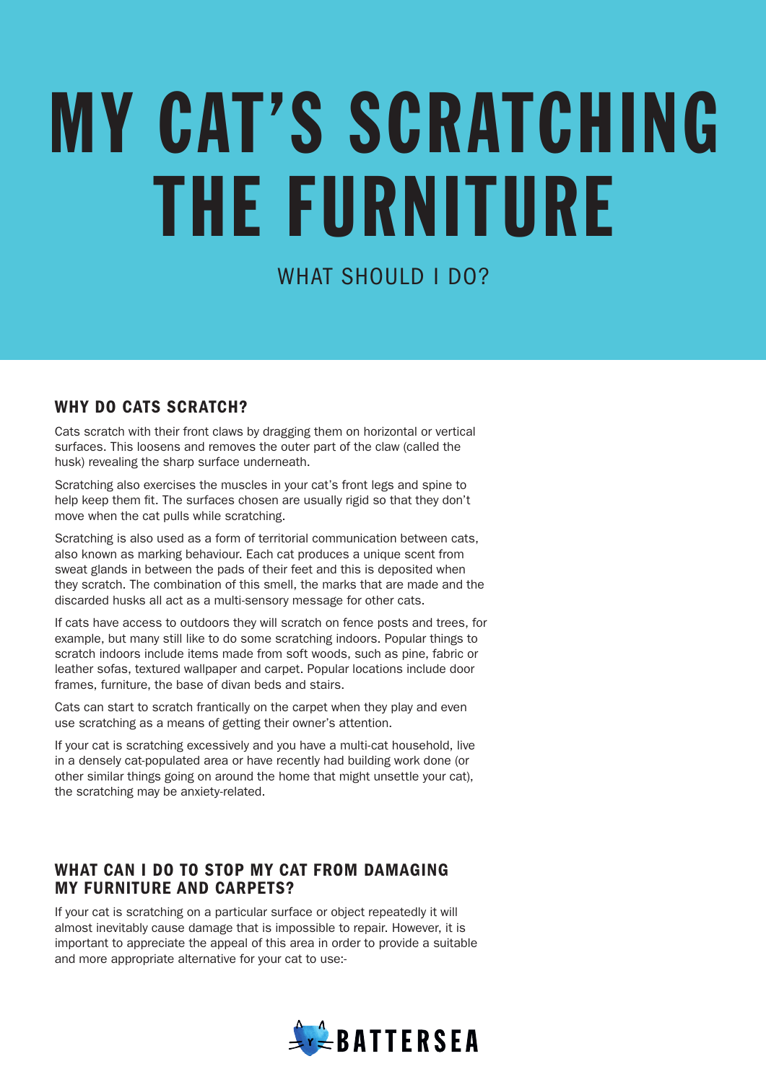# MY CAT'S SCRATCHING THE FURNITURE

# WHAT SHOULD LDO?

# WHY DO CATS SCRATCH?

Cats scratch with their front claws by dragging them on horizontal or vertical surfaces. This loosens and removes the outer part of the claw (called the husk) revealing the sharp surface underneath.

Scratching also exercises the muscles in your cat's front legs and spine to help keep them fit. The surfaces chosen are usually rigid so that they don't move when the cat pulls while scratching.

Scratching is also used as a form of territorial communication between cats, also known as marking behaviour. Each cat produces a unique scent from sweat glands in between the pads of their feet and this is deposited when they scratch. The combination of this smell, the marks that are made and the discarded husks all act as a multi-sensory message for other cats.

If cats have access to outdoors they will scratch on fence posts and trees, for example, but many still like to do some scratching indoors. Popular things to scratch indoors include items made from soft woods, such as pine, fabric or leather sofas, textured wallpaper and carpet. Popular locations include door frames, furniture, the base of divan beds and stairs.

Cats can start to scratch frantically on the carpet when they play and even use scratching as a means of getting their owner's attention.

If your cat is scratching excessively and you have a multi-cat household, live in a densely cat-populated area or have recently had building work done (or other similar things going on around the home that might unsettle your cat), the scratching may be anxiety-related.

# WHAT CAN I DO TO STOP MY CAT FROM DAMAGING MY FURNITURE AND CARPETS?

If your cat is scratching on a particular surface or object repeatedly it will almost inevitably cause damage that is impossible to repair. However, it is important to appreciate the appeal of this area in order to provide a suitable and more appropriate alternative for your cat to use:-

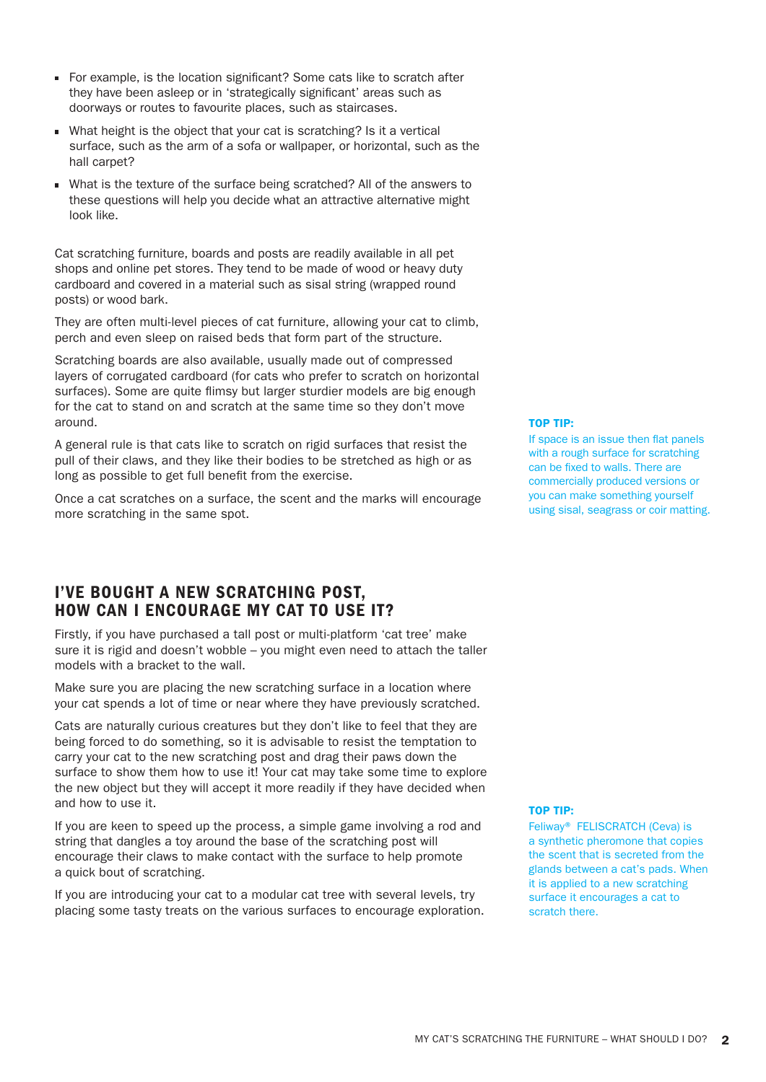- For example, is the location significant? Some cats like to scratch after they have been asleep or in 'strategically significant' areas such as doorways or routes to favourite places, such as staircases.
- What height is the object that your cat is scratching? Is it a vertical surface, such as the arm of a sofa or wallpaper, or horizontal, such as the hall carpet?
- What is the texture of the surface being scratched? All of the answers to these questions will help you decide what an attractive alternative might look like.

Cat scratching furniture, boards and posts are readily available in all pet shops and online pet stores. They tend to be made of wood or heavy duty cardboard and covered in a material such as sisal string (wrapped round posts) or wood bark.

They are often multi-level pieces of cat furniture, allowing your cat to climb, perch and even sleep on raised beds that form part of the structure.

Scratching boards are also available, usually made out of compressed layers of corrugated cardboard (for cats who prefer to scratch on horizontal surfaces). Some are quite flimsy but larger sturdier models are big enough for the cat to stand on and scratch at the same time so they don't move around.

A general rule is that cats like to scratch on rigid surfaces that resist the pull of their claws, and they like their bodies to be stretched as high or as long as possible to get full benefit from the exercise.

Once a cat scratches on a surface, the scent and the marks will encourage more scratching in the same spot.

# I'VE BOUGHT A NEW SCRATCHING POST, HOW CAN I ENCOURAGE MY CAT TO USE IT?

Firstly, if you have purchased a tall post or multi-platform 'cat tree' make sure it is rigid and doesn't wobble – you might even need to attach the taller models with a bracket to the wall.

Make sure you are placing the new scratching surface in a location where your cat spends a lot of time or near where they have previously scratched.

Cats are naturally curious creatures but they don't like to feel that they are being forced to do something, so it is advisable to resist the temptation to carry your cat to the new scratching post and drag their paws down the surface to show them how to use it! Your cat may take some time to explore the new object but they will accept it more readily if they have decided when and how to use it.

If you are keen to speed up the process, a simple game involving a rod and string that dangles a toy around the base of the scratching post will encourage their claws to make contact with the surface to help promote a quick bout of scratching.

If you are introducing your cat to a modular cat tree with several levels, try placing some tasty treats on the various surfaces to encourage exploration.

### TOP TIP:

If space is an issue then flat panels with a rough surface for scratching can be fixed to walls. There are commercially produced versions or you can make something yourself using sisal, seagrass or coir matting.

### TOP TIP:

Feliway® FELISCRATCH (Ceva) is a synthetic pheromone that copies the scent that is secreted from the glands between a cat's pads. When it is applied to a new scratching surface it encourages a cat to scratch there.